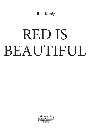Rita König

## RED IS **BEAUTIFUL**

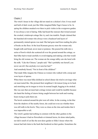## Chapter 3

The witch's house in the village did not stand on a chicken's foot. It was small and built of dark wood, just like Silke imagined Baba Yaga's house to be. In spring the children sneaked over there to pick violets in the overgrown garden. It was always a test of daring. Silke had heard the rumours that twined around the crooked, windswept cottage like ivy and vine tendrils. People claimed that the hunched old woman who always wore a headscarf and layers of permanently stained aprons was mad. She had gone mad from reading the piles of books on the floor. At the local Konsum grocery store the woman only bought milk and bread, never meat or potatoes. She poured the milk into a series of bowls which she scattered all over the ground around the cottage, so that Silke had to tread carefully to avoid tripping and making a din that would bring the old woman out. The woman ate the orange tabby cats she lured with the milk. "Like the Chinese," people said. "She's probably one herself, you never can tell. Has anybody ever seen her hair?"

And somebody hissed, "Not in front of the children!"

That made Silke imagine the Chinese as women who walked with a stoop and wore layers of aprons.

When there was meat Silke disliked at school dinner she tried to envisage what cat meat tasted like. She pictured their neighbour's fat tomcat lying on its back and stretching out its tongue to twice its normal length, begging to be stroked. She was sure that cat meat had a stringy texture and would be inedible because she hated the feeling of sinews being caught between her teeth and wasting hours trying to pick them out.

The bowls scattered around the plot were all white. In the evening, in the blur from the shadows of the nearby forest, she could not even see whether there was still milk in the bowls. They were so clean on the rims and insides that it was impossible to tell.

The witch's garden had nothing in common with the other gardens in the village because it had no flowerbeds or trimmed lawns, let alone raked paths, nor did it smell of cat like the next-door garden to Silke's house where the tomcat had laid claim to the bush that bordered on their garden. Sometimes the

1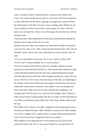witch's overgrown patch it smelled like hay, sometimes like freshly sawn wood. The woman herself did not smell, or at least her smell did not penetrate to where Silke hid with the others, although you might have expected it from the stained aprons. She didn't of soap or clean washing, either. But the air was always redolent with the scent of pines. And in spring, of violets. The little house was surrounded by violets, not just the biggest but also the ones with the strongest scent.

Violet and white. Silke made them into little posies and sold them outside the Konsum store to make money for ice cream.

Summer came, her father was working very hard and her mother occasionally went away for a day or two. Silke roamed around with the others. They chewed shepherd's purse with its nutty taste, and looked for violets, but they were all gone.

"Let's go to the garden in the woods. We're sure to find a lot there still!" "To the witch? In broad daylight? No, we won't go there."

They lay in a grassy field until late afternoon, picking at ribgrass ears and making nose caps with bindweed flowers, white funnels that stayed put as long as they held their breath but fell off when they exhaled through their mouth. After the others had run off home, Silke clambered around for a while. She did not set off for the witch's house until dusk began to fall. She saw bright light in the cottage, which seemed odd because the people at the Konsum store always claimed the woman had no electricity, only candles. A cat sat washing itself close to the fence. Silke could sit for hours watching their neighbour's cat cleaning itself with the utmost care, and only felt a shudder when it licked its body too hard with its rasping tongue. But this cat simply sat there blocking her way. Silke crouched down and waited. One of the orange tabbies slunk around her legs.

When Silke tried to stroke it, the tabby wriggled out of her grasp and ran away. So did the cat behind the fence. Silke climbed over and saw the tabby bending over a bowl. It lapped with a regular sound, its tongue drumming rhythmically on the rim of the bowl as it slopped the milk into its mouth.

Silke jumped over the gleaming bowls and scurried over the grass till she reached the house wall. The ivy was warm. Feeling for a strong branch, she

2